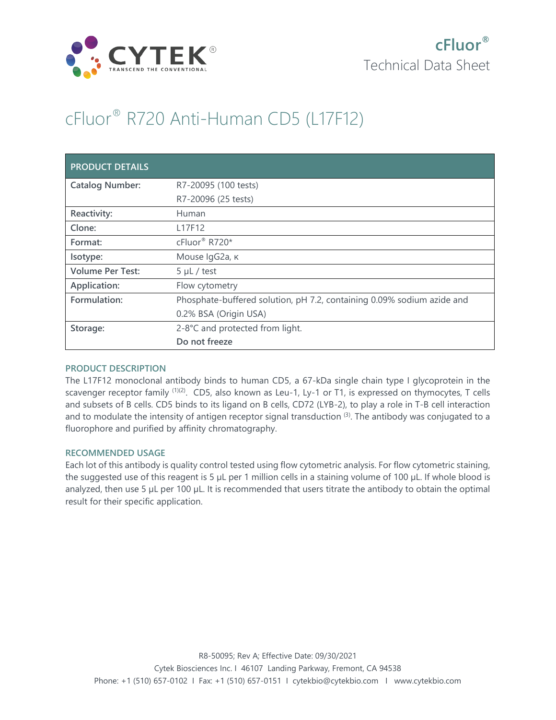

# cFluor® R720 Anti-Human CD5 (L17F12)

| <b>PRODUCT DETAILS</b>  |                                                                        |
|-------------------------|------------------------------------------------------------------------|
| <b>Catalog Number:</b>  | R7-20095 (100 tests)                                                   |
|                         | R7-20096 (25 tests)                                                    |
| Reactivity:             | Human                                                                  |
| Clone:                  | L17F12                                                                 |
| Format:                 | cFluor <sup>®</sup> R720*                                              |
| Isotype:                | Mouse IgG2a, к                                                         |
| <b>Volume Per Test:</b> | $5 \mu L$ / test                                                       |
| Application:            | Flow cytometry                                                         |
| Formulation:            | Phosphate-buffered solution, pH 7.2, containing 0.09% sodium azide and |
|                         | 0.2% BSA (Origin USA)                                                  |
| Storage:                | 2-8°C and protected from light.                                        |
|                         | Do not freeze                                                          |

### **PRODUCT DESCRIPTION**

The L17F12 monoclonal antibody binds to human CD5, a 67-kDa single chain type I glycoprotein in the scavenger receptor family <sup>(1)(2)</sup>. CD5, also known as Leu-1, Ly-1 or T1, is expressed on thymocytes, T cells and subsets of B cells. CD5 binds to its ligand on B cells, CD72 (LYB-2), to play a role in T-B cell interaction and to modulate the intensity of antigen receptor signal transduction  $(3)$ . The antibody was conjugated to a fluorophore and purified by affinity chromatography.

## **RECOMMENDED USAGE**

Each lot of this antibody is quality control tested using flow cytometric analysis. For flow cytometric staining, the suggested use of this reagent is 5 µL per 1 million cells in a staining volume of 100 µL. If whole blood is analyzed, then use 5 µL per 100 µL. It is recommended that users titrate the antibody to obtain the optimal result for their specific application.